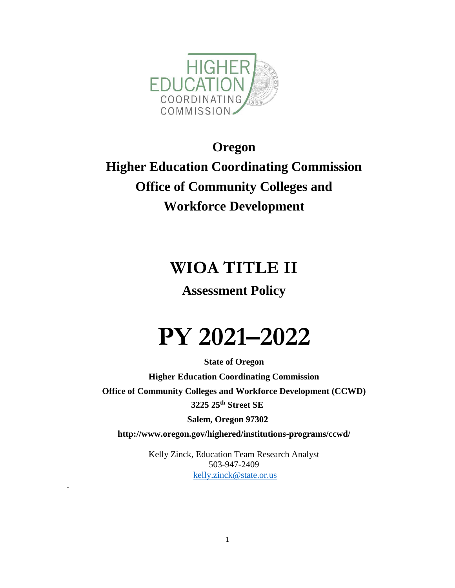

# **Oregon Higher Education Coordinating Commission Office of Community Colleges and Workforce Development**

# **WIOA TITLE II**

## **Assessment Policy**

# **PY 2021–2022**

**State of Oregon Higher Education Coordinating Commission Office of Community Colleges and Workforce Development (CCWD) 3225 25th Street SE**

**Salem, Oregon 97302**

**http://www.oregon.gov/highered/institutions-programs/ccwd/**

Kelly Zinck, Education Team Research Analyst 503-947-2409 [kelly.zinck@state.or.us](mailto:kelly.zinck@state.or.us)

.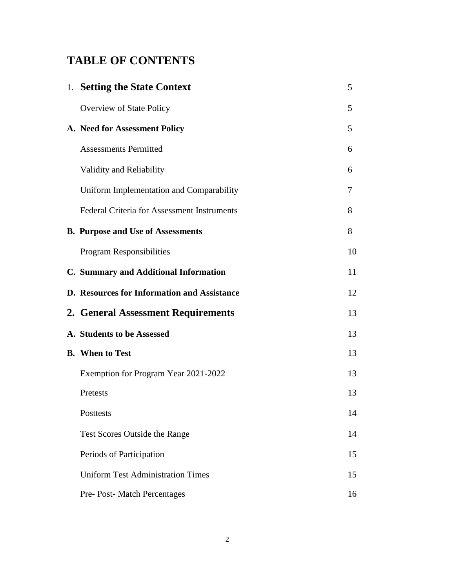## **TABLE OF CONTENTS**

| 1. Setting the State Context                       | 5  |
|----------------------------------------------------|----|
| Overview of State Policy                           | 5  |
| A. Need for Assessment Policy                      | 5  |
| <b>Assessments Permitted</b>                       | 6  |
| Validity and Reliability                           | 6  |
| Uniform Implementation and Comparability           | 7  |
| <b>Federal Criteria for Assessment Instruments</b> | 8  |
| <b>B. Purpose and Use of Assessments</b>           | 8  |
| Program Responsibilities                           | 10 |
| C. Summary and Additional Information              | 11 |
| D. Resources for Information and Assistance        | 12 |
| 2. General Assessment Requirements                 | 13 |
| A. Students to be Assessed                         | 13 |
| <b>B.</b> When to Test                             | 13 |
| Exemption for Program Year 2021-2022               | 13 |
| Pretests                                           | 13 |
| Posttests                                          | 14 |
| Test Scores Outside the Range                      | 14 |
| Periods of Participation                           | 15 |
| <b>Uniform Test Administration Times</b>           | 15 |
| Pre- Post- Match Percentages                       | 16 |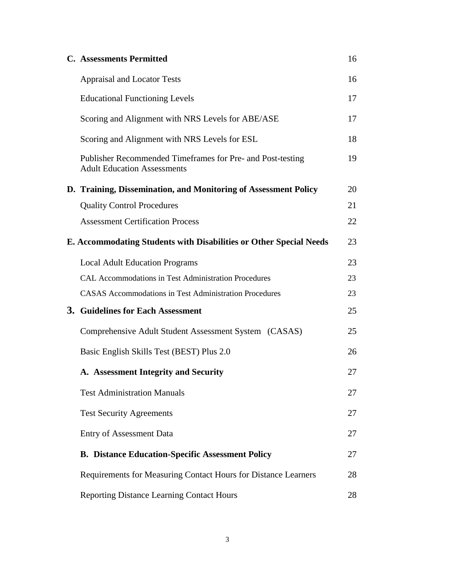| <b>C.</b> Assessments Permitted                                                                  | 16 |
|--------------------------------------------------------------------------------------------------|----|
| <b>Appraisal and Locator Tests</b>                                                               | 16 |
| <b>Educational Functioning Levels</b>                                                            | 17 |
| Scoring and Alignment with NRS Levels for ABE/ASE                                                | 17 |
| Scoring and Alignment with NRS Levels for ESL                                                    | 18 |
| Publisher Recommended Timeframes for Pre- and Post-testing<br><b>Adult Education Assessments</b> | 19 |
| D. Training, Dissemination, and Monitoring of Assessment Policy                                  | 20 |
| <b>Quality Control Procedures</b>                                                                | 21 |
| <b>Assessment Certification Process</b>                                                          | 22 |
| E. Accommodating Students with Disabilities or Other Special Needs                               | 23 |
| <b>Local Adult Education Programs</b>                                                            | 23 |
| <b>CAL Accommodations in Test Administration Procedures</b>                                      | 23 |
| <b>CASAS Accommodations in Test Administration Procedures</b>                                    | 23 |
| 3. Guidelines for Each Assessment                                                                | 25 |
| Comprehensive Adult Student Assessment System (CASAS)                                            | 25 |
| Basic English Skills Test (BEST) Plus 2.0                                                        | 26 |
| A. Assessment Integrity and Security                                                             | 27 |
| <b>Test Administration Manuals</b>                                                               | 27 |
| <b>Test Security Agreements</b>                                                                  | 27 |
| <b>Entry of Assessment Data</b>                                                                  | 27 |
| <b>B. Distance Education-Specific Assessment Policy</b>                                          | 27 |
| Requirements for Measuring Contact Hours for Distance Learners                                   | 28 |
| <b>Reporting Distance Learning Contact Hours</b>                                                 | 28 |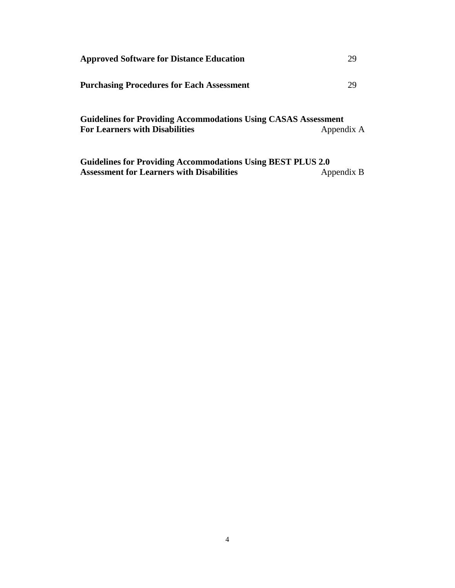| <b>Approved Software for Distance Education</b>                                                                |            |
|----------------------------------------------------------------------------------------------------------------|------------|
| <b>Purchasing Procedures for Each Assessment</b>                                                               | 29         |
| <b>Guidelines for Providing Accommodations Using CASAS Assessment</b><br><b>For Learners with Disabilities</b> | Appendix A |
| $C_{\rm mid}$ dines for Dreviding Assemmedations Heing DEST DI HS $2.0$                                        |            |

**Guidelines for Providing Accommodations Using BEST PLUS 2.0 Assessment for Learners with Disabilities**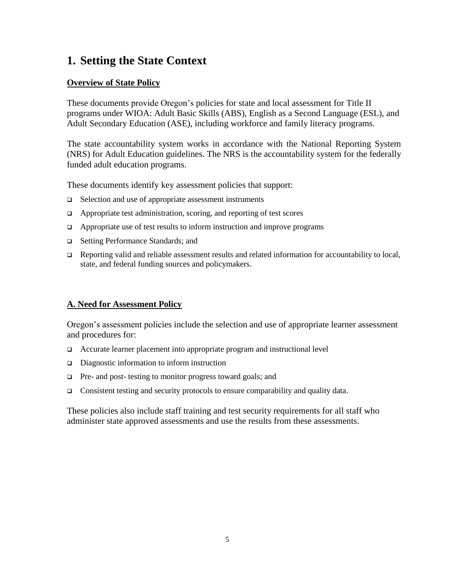## **1. Setting the State Context**

#### **Overview of State Policy**

These documents provide Oregon's policies for state and local assessment for Title II programs under WIOA: Adult Basic Skills (ABS), English as a Second Language (ESL), and Adult Secondary Education (ASE), including workforce and family literacy programs.

The state accountability system works in accordance with the National Reporting System (NRS) for Adult Education guidelines. The NRS is the accountability system for the federally funded adult education programs.

These documents identify key assessment policies that support:

- $\Box$  Selection and use of appropriate assessment instruments
- $\Box$  Appropriate test administration, scoring, and reporting of test scores
- $\Box$  Appropriate use of test results to inform instruction and improve programs
- □ Setting Performance Standards; and
- $\Box$  Reporting valid and reliable assessment results and related information for accountability to local, state, and federal funding sources and policymakers.

#### **A. Need for Assessment Policy**

Oregon's assessment policies include the selection and use of appropriate learner assessment and procedures for:

- Accurate learner placement into appropriate program and instructional level
- Diagnostic information to inform instruction
- $\Box$  Pre- and post- testing to monitor progress toward goals; and
- Consistent testing and security protocols to ensure comparability and quality data.

These policies also include staff training and test security requirements for all staff who administer state approved assessments and use the results from these assessments.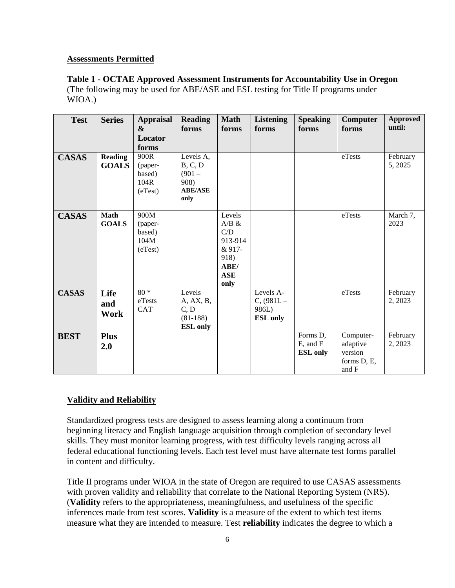#### **Assessments Permitted**

**Table 1 - OCTAE Approved Assessment Instruments for Accountability Use in Oregon**  (The following may be used for ABE/ASE and ESL testing for Title II programs under WIOA.)

| <b>Test</b>  | <b>Series</b>                  | <b>Appraisal</b><br>&<br>Locator<br>forms    | <b>Reading</b><br>forms                                            | <b>Math</b><br>forms                                                                 | <b>Listening</b><br>forms                               | <b>Speaking</b><br>forms                     | Computer<br>forms                                        | <b>Approved</b><br>until: |
|--------------|--------------------------------|----------------------------------------------|--------------------------------------------------------------------|--------------------------------------------------------------------------------------|---------------------------------------------------------|----------------------------------------------|----------------------------------------------------------|---------------------------|
| <b>CASAS</b> | <b>Reading</b><br><b>GOALS</b> | 900R<br>(paper-<br>based)<br>104R<br>(eTest) | Levels A,<br>B, C, D<br>$(901 -$<br>908)<br><b>ABE/ASE</b><br>only |                                                                                      |                                                         |                                              | eTests                                                   | February<br>5, 2025       |
| <b>CASAS</b> | <b>Math</b><br><b>GOALS</b>    | 900M<br>(paper-<br>based)<br>104M<br>(eTest) |                                                                    | Levels<br>$A/B \&$<br>C/D<br>913-914<br>& 917-<br>918)<br>ABE/<br><b>ASE</b><br>only |                                                         |                                              | eTests                                                   | March 7,<br>2023          |
| <b>CASAS</b> | Life<br>and<br>Work            | $80 *$<br>eTests<br><b>CAT</b>               | Levels<br>A, AX, B,<br>C, D<br>$(81-188)$<br><b>ESL</b> only       |                                                                                      | Levels A-<br>$C_{1}(981L -$<br>986L)<br><b>ESL</b> only |                                              | eTests                                                   | February<br>2, 2023       |
| <b>BEST</b>  | <b>Plus</b><br>2.0             |                                              |                                                                    |                                                                                      |                                                         | Forms D,<br>$E$ , and $F$<br><b>ESL</b> only | Computer-<br>adaptive<br>version<br>forms D, E,<br>and F | February<br>2, 2023       |

#### **Validity and Reliability**

Standardized progress tests are designed to assess learning along a continuum from beginning literacy and English language acquisition through completion of secondary level skills. They must monitor learning progress, with test difficulty levels ranging across all federal educational functioning levels. Each test level must have alternate test forms parallel in content and difficulty.

Title II programs under WIOA in the state of Oregon are required to use CASAS assessments with proven validity and reliability that correlate to the National Reporting System (NRS). (**Validity** refers to the appropriateness, meaningfulness, and usefulness of the specific inferences made from test scores. **Validity** is a measure of the extent to which test items measure what they are intended to measure. Test **reliability** indicates the degree to which a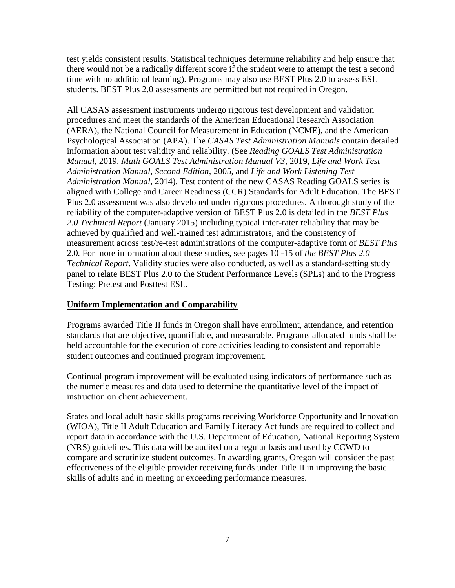test yields consistent results. Statistical techniques determine reliability and help ensure that there would not be a radically different score if the student were to attempt the test a second time with no additional learning). Programs may also use BEST Plus 2.0 to assess ESL students. BEST Plus 2.0 assessments are permitted but not required in Oregon.

All CASAS assessment instruments undergo rigorous test development and validation procedures and meet the standards of the American Educational Research Association (AERA), the National Council for Measurement in Education (NCME), and the American Psychological Association (APA). The *CASAS Test Administration Manuals* contain detailed information about test validity and reliability. (See *Reading GOALS Test Administration Manual*, 2019, *Math GOALS Test Administration Manual V3*, 2019, *Life and Work Test Administration Manual*, *Second Edition*, 2005, and *Life and Work Listening Test Administration Manual*, 2014). Test content of the new CASAS Reading GOALS series is aligned with College and Career Readiness (CCR) Standards for Adult Education. The BEST Plus 2.0 assessment was also developed under rigorous procedures. A thorough study of the reliability of the computer-adaptive version of BEST Plus 2.0 is detailed in the *BEST Plus 2.0 Technical Report* (January 2015) including typical inter-rater reliability that may be achieved by qualified and well-trained test administrators, and the consistency of measurement across test/re-test administrations of the computer-adaptive form of *BEST Plus* 2.0*.* For more information about these studies, see pages 10 -15 of *the BEST Plus 2.0 Technical Report*. Validity studies were also conducted, as well as a standard-setting study panel to relate BEST Plus 2.0 to the Student Performance Levels (SPLs) and to the Progress Testing: Pretest and Posttest ESL.

#### **Uniform Implementation and Comparability**

Programs awarded Title II funds in Oregon shall have enrollment, attendance, and retention standards that are objective, quantifiable, and measurable. Programs allocated funds shall be held accountable for the execution of core activities leading to consistent and reportable student outcomes and continued program improvement.

Continual program improvement will be evaluated using indicators of performance such as the numeric measures and data used to determine the quantitative level of the impact of instruction on client achievement.

States and local adult basic skills programs receiving Workforce Opportunity and Innovation (WIOA), Title II Adult Education and Family Literacy Act funds are required to collect and report data in accordance with the U.S. Department of Education, National Reporting System (NRS) guidelines. This data will be audited on a regular basis and used by CCWD to compare and scrutinize student outcomes. In awarding grants, Oregon will consider the past effectiveness of the eligible provider receiving funds under Title II in improving the basic skills of adults and in meeting or exceeding performance measures.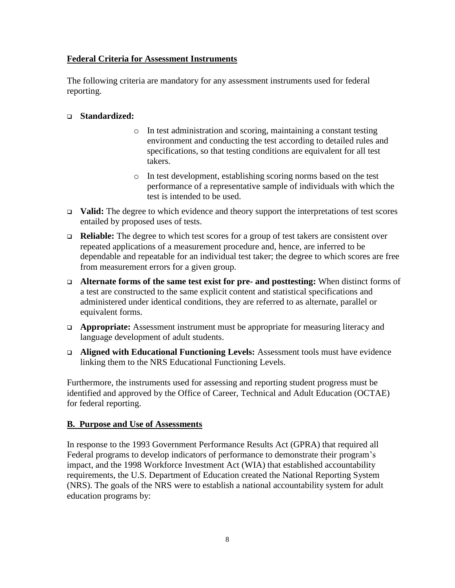#### **Federal Criteria for Assessment Instruments**

The following criteria are mandatory for any assessment instruments used for federal reporting.

#### **Standardized:**

- o In test administration and scoring, maintaining a constant testing environment and conducting the test according to detailed rules and specifications, so that testing conditions are equivalent for all test takers.
- o In test development, establishing scoring norms based on the test performance of a representative sample of individuals with which the test is intended to be used.
- **Valid:** The degree to which evidence and theory support the interpretations of test scores entailed by proposed uses of tests.
- **Reliable:** The degree to which test scores for a group of test takers are consistent over repeated applications of a measurement procedure and, hence, are inferred to be dependable and repeatable for an individual test taker; the degree to which scores are free from measurement errors for a given group.
- **Alternate forms of the same test exist for pre- and posttesting:** When distinct forms of a test are constructed to the same explicit content and statistical specifications and administered under identical conditions, they are referred to as alternate, parallel or equivalent forms.
- **Appropriate:** Assessment instrument must be appropriate for measuring literacy and language development of adult students.
- **Aligned with Educational Functioning Levels:** Assessment tools must have evidence linking them to the NRS Educational Functioning Levels.

 Furthermore, the instruments used for assessing and reporting student progress must be identified and approved by the Office of Career, Technical and Adult Education (OCTAE) for federal reporting.

#### **B. Purpose and Use of Assessments**

In response to the 1993 Government Performance Results Act (GPRA) that required all Federal programs to develop indicators of performance to demonstrate their program's impact, and the 1998 Workforce Investment Act (WIA) that established accountability requirements, the U.S. Department of Education created the National Reporting System (NRS). The goals of the NRS were to establish a national accountability system for adult education programs by: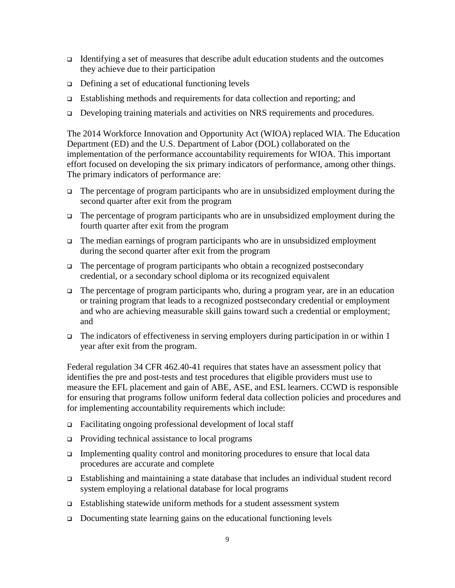- Identifying a set of measures that describe adult education students and the outcomes they achieve due to their participation
- $\Box$  Defining a set of educational functioning levels
- Establishing methods and requirements for data collection and reporting; and
- Developing training materials and activities on NRS requirements and procedures.

The 2014 Workforce Innovation and Opportunity Act (WIOA) replaced WIA. The Education Department (ED) and the U.S. Department of Labor (DOL) collaborated on the implementation of the performance accountability requirements for WIOA. This important effort focused on developing the six primary indicators of performance, among other things. The primary indicators of performance are:

- $\Box$  The percentage of program participants who are in unsubsidized employment during the second quarter after exit from the program
- The percentage of program participants who are in unsubsidized employment during the fourth quarter after exit from the program
- The median earnings of program participants who are in unsubsidized employment during the second quarter after exit from the program
- $\Box$  The percentage of program participants who obtain a recognized postsecondary credential, or a secondary school diploma or its recognized equivalent
- $\Box$  The percentage of program participants who, during a program year, are in an education or training program that leads to a recognized postsecondary credential or employment and who are achieving measurable skill gains toward such a credential or employment; and
- The indicators of effectiveness in serving employers during participation in or within 1 year after exit from the program.

Federal regulation 34 CFR 462.40-41 requires that states have an assessment policy that identifies the pre and post-tests and test procedures that eligible providers must use to measure the EFL placement and gain of ABE, ASE, and ESL learners. CCWD is responsible for ensuring that programs follow uniform federal data collection policies and procedures and for implementing accountability requirements which include:

- Facilitating ongoing professional development of local staff
- $\Box$  Providing technical assistance to local programs
- Implementing quality control and monitoring procedures to ensure that local data procedures are accurate and complete
- Establishing and maintaining a state database that includes an individual student record system employing a relational database for local programs
- Establishing statewide uniform methods for a student assessment system
- Documenting state learning gains on the educational functioning levels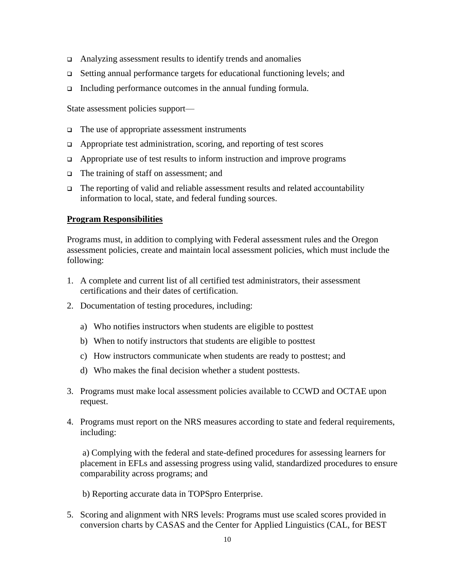- Analyzing assessment results to identify trends and anomalies
- Setting annual performance targets for educational functioning levels; and
- Including performance outcomes in the annual funding formula.

State assessment policies support—

- $\Box$  The use of appropriate assessment instruments
- $\Box$  Appropriate test administration, scoring, and reporting of test scores
- $\Box$  Appropriate use of test results to inform instruction and improve programs
- The training of staff on assessment; and
- The reporting of valid and reliable assessment results and related accountability information to local, state, and federal funding sources.

#### **Program Responsibilities**

Programs must, in addition to complying with Federal assessment rules and the Oregon assessment policies, create and maintain local assessment policies, which must include the following:

- 1. A complete and current list of all certified test administrators, their assessment certifications and their dates of certification.
- 2. Documentation of testing procedures, including:
	- a) Who notifies instructors when students are eligible to posttest
	- b) When to notify instructors that students are eligible to posttest
	- c) How instructors communicate when students are ready to posttest; and
	- d) Who makes the final decision whether a student posttests.
- 3. Programs must make local assessment policies available to CCWD and OCTAE upon request.
- 4. Programs must report on the NRS measures according to state and federal requirements, including:

 a) Complying with the federal and state-defined procedures for assessing learners for placement in EFLs and assessing progress using valid, standardized procedures to ensure comparability across programs; and

b) Reporting accurate data in TOPSpro Enterprise.

5. Scoring and alignment with NRS levels: Programs must use scaled scores provided in conversion charts by CASAS and the Center for Applied Linguistics (CAL, for BEST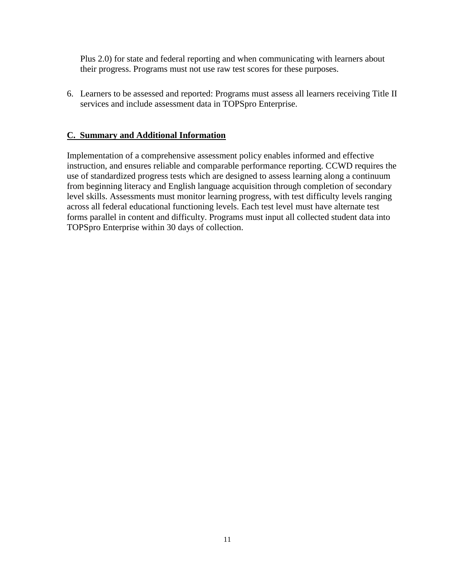Plus 2.0) for state and federal reporting and when communicating with learners about their progress. Programs must not use raw test scores for these purposes.

6. Learners to be assessed and reported: Programs must assess all learners receiving Title II services and include assessment data in TOPSpro Enterprise.

#### **C. Summary and Additional Information**

Implementation of a comprehensive assessment policy enables informed and effective instruction, and ensures reliable and comparable performance reporting. CCWD requires the use of standardized progress tests which are designed to assess learning along a continuum from beginning literacy and English language acquisition through completion of secondary level skills. Assessments must monitor learning progress, with test difficulty levels ranging across all federal educational functioning levels. Each test level must have alternate test forms parallel in content and difficulty. Programs must input all collected student data into TOPSpro Enterprise within 30 days of collection.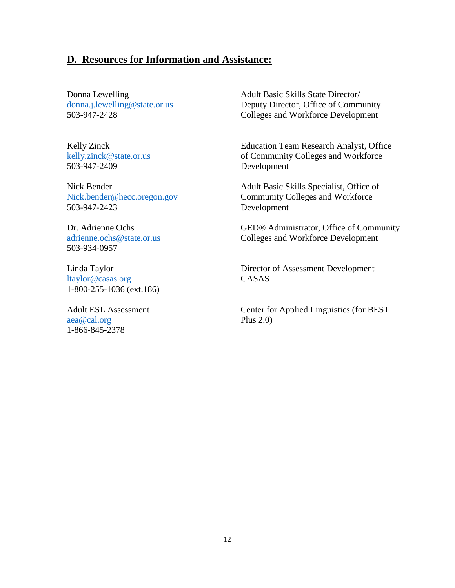#### **D. Resources for Information and Assistance:**

503-947-2409 Development

503-947-2423 Development

503-934-0957

[ltaylor@casas.org](mailto:ltaylor@casas.org) CASAS 1-800-255-1036 (ext.186)

[aea@cal.org](mailto:aea@cal.org) Plus 2.0) 1-866-845-2378

Donna Lewelling<br>
donna.j.lewelling@state.or.us<br>
Deputy Director, Office of Comm Deputy Director, Office of Community 503-947-2428 Colleges and Workforce Development

Kelly Zinck **Education Team Research Analyst, Office** [kelly.zinck@state.or.us](mailto:kelly.zinck@state.or.us) of Community Colleges and Workforce

Nick Bender Adult Basic Skills Specialist, Office of [Nick.bender@hecc.oregon.gov](mailto:Nick.bender@hecc.oregon.gov) Community Colleges and Workforce

Dr. Adrienne Ochs GED® Administrator, Office of Community [adrienne.ochs@state.or.us](mailto:adrienne.ochs@state.or.us) Colleges and Workforce Development

Linda Taylor Director of Assessment Development

Adult ESL Assessment Center for Applied Linguistics (for BEST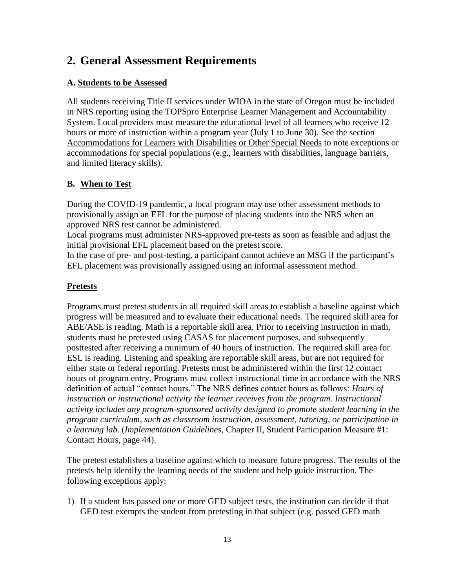## **2. General Assessment Requirements**

#### **A. Students to be Assessed**

All students receiving Title II services under WIOA in the state of Oregon must be included in NRS reporting using the TOPSpro Enterprise Learner Management and Accountability System. Local providers must measure the educational level of all learners who receive 12 hours or more of instruction within a program year (July 1 to June 30). See the section Accommodations for Learners with Disabilities or Other Special Needs to note exceptions or accommodations for special populations (e.g., learners with disabilities, language barriers, and limited literacy skills).

#### **B. When to Test**

During the COVID-19 pandemic, a local program may use other assessment methods to provisionally assign an EFL for the purpose of placing students into the NRS when an approved NRS test cannot be administered.

Local programs must administer NRS-approved pre-tests as soon as feasible and adjust the initial provisional EFL placement based on the pretest score.

In the case of pre- and post-testing, a participant cannot achieve an MSG if the participant's EFL placement was provisionally assigned using an informal assessment method.

#### **Pretests**

Programs must pretest students in all required skill areas to establish a baseline against which progress will be measured and to evaluate their educational needs. The required skill area for ABE/ASE is reading. Math is a reportable skill area. Prior to receiving instruction in math, students must be pretested using CASAS for placement purposes, and subsequently posttested after receiving a minimum of 40 hours of instruction. The required skill area for ESL is reading. Listening and speaking are reportable skill areas, but are not required for either state or federal reporting. Pretests must be administered within the first 12 contact hours of program entry. Programs must collect instructional time in accordance with the NRS definition of actual "contact hours." The NRS defines contact hours as follows: *Hours of instruction or instructional activity the learner receives from the program. Instructional activity includes any program-sponsored activity designed to promote student learning in the program curriculum, such as classroom instruction, assessment, tutoring, or participation in a learning lab.* (*Implementation Guidelines*, Chapter II, Student Participation Measure #1: Contact Hours, page 44).

The pretest establishes a baseline against which to measure future progress. The results of the pretests help identify the learning needs of the student and help guide instruction. The following exceptions apply:

1) If a student has passed one or more GED subject tests, the institution can decide if that GED test exempts the student from pretesting in that subject (e.g. passed GED math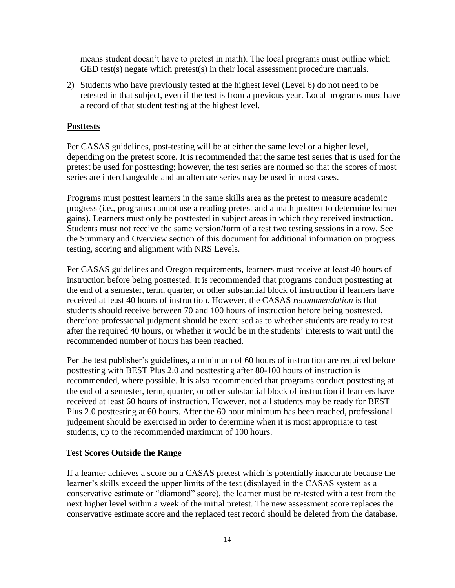means student doesn't have to pretest in math). The local programs must outline which GED test(s) negate which pretest(s) in their local assessment procedure manuals.

2) Students who have previously tested at the highest level (Level 6) do not need to be retested in that subject, even if the test is from a previous year. Local programs must have a record of that student testing at the highest level.

#### **Posttests**

Per CASAS guidelines, post-testing will be at either the same level or a higher level, depending on the pretest score. It is recommended that the same test series that is used for the pretest be used for posttesting; however, the test series are normed so that the scores of most series are interchangeable and an alternate series may be used in most cases.

Programs must posttest learners in the same skills area as the pretest to measure academic progress (i.e., programs cannot use a reading pretest and a math posttest to determine learner gains). Learners must only be posttested in subject areas in which they received instruction. Students must not receive the same version/form of a test two testing sessions in a row. See the Summary and Overview section of this document for additional information on progress testing, scoring and alignment with NRS Levels.

Per CASAS guidelines and Oregon requirements, learners must receive at least 40 hours of instruction before being posttested. It is recommended that programs conduct posttesting at the end of a semester, term, quarter, or other substantial block of instruction if learners have received at least 40 hours of instruction. However, the CASAS *recommendation* is that students should receive between 70 and 100 hours of instruction before being posttested, therefore professional judgment should be exercised as to whether students are ready to test after the required 40 hours, or whether it would be in the students' interests to wait until the recommended number of hours has been reached.

Per the test publisher's guidelines, a minimum of 60 hours of instruction are required before posttesting with BEST Plus 2.0 and posttesting after 80-100 hours of instruction is recommended, where possible. It is also recommended that programs conduct posttesting at the end of a semester, term, quarter, or other substantial block of instruction if learners have received at least 60 hours of instruction. However, not all students may be ready for BEST Plus 2.0 posttesting at 60 hours. After the 60 hour minimum has been reached, professional judgement should be exercised in order to determine when it is most appropriate to test students, up to the recommended maximum of 100 hours.

#### **Test Scores Outside the Range**

If a learner achieves a score on a CASAS pretest which is potentially inaccurate because the learner's skills exceed the upper limits of the test (displayed in the CASAS system as a conservative estimate or "diamond" score), the learner must be re-tested with a test from the next higher level within a week of the initial pretest. The new assessment score replaces the conservative estimate score and the replaced test record should be deleted from the database.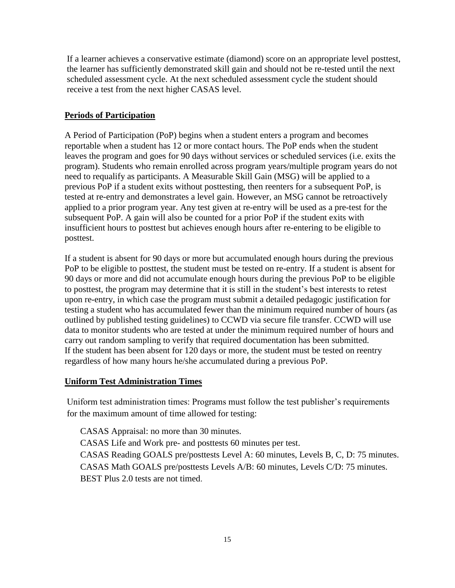If a learner achieves a conservative estimate (diamond) score on an appropriate level posttest, the learner has sufficiently demonstrated skill gain and should not be re-tested until the next scheduled assessment cycle. At the next scheduled assessment cycle the student should receive a test from the next higher CASAS level.

#### **Periods of Participation**

A Period of Participation (PoP) begins when a student enters a program and becomes reportable when a student has 12 or more contact hours. The PoP ends when the student leaves the program and goes for 90 days without services or scheduled services (i.e. exits the program). Students who remain enrolled across program years/multiple program years do not need to requalify as participants. A Measurable Skill Gain (MSG) will be applied to a previous PoP if a student exits without posttesting, then reenters for a subsequent PoP, is tested at re-entry and demonstrates a level gain. However, an MSG cannot be retroactively applied to a prior program year. Any test given at re-entry will be used as a pre-test for the subsequent PoP. A gain will also be counted for a prior PoP if the student exits with insufficient hours to posttest but achieves enough hours after re-entering to be eligible to posttest.

If a student is absent for 90 days or more but accumulated enough hours during the previous PoP to be eligible to posttest, the student must be tested on re-entry. If a student is absent for 90 days or more and did not accumulate enough hours during the previous PoP to be eligible to posttest, the program may determine that it is still in the student's best interests to retest upon re-entry, in which case the program must submit a detailed pedagogic justification for testing a student who has accumulated fewer than the minimum required number of hours (as outlined by published testing guidelines) to CCWD via secure file transfer. CCWD will use data to monitor students who are tested at under the minimum required number of hours and carry out random sampling to verify that required documentation has been submitted. If the student has been absent for 120 days or more, the student must be tested on reentry regardless of how many hours he/she accumulated during a previous PoP.

#### **Uniform Test Administration Times**

Uniform test administration times: Programs must follow the test publisher's requirements for the maximum amount of time allowed for testing:

CASAS Appraisal: no more than 30 minutes. CASAS Life and Work pre- and posttests 60 minutes per test. CASAS Reading GOALS pre/posttests Level A: 60 minutes, Levels B, C, D: 75 minutes. CASAS Math GOALS pre/posttests Levels A/B: 60 minutes, Levels C/D: 75 minutes. BEST Plus 2.0 tests are not timed.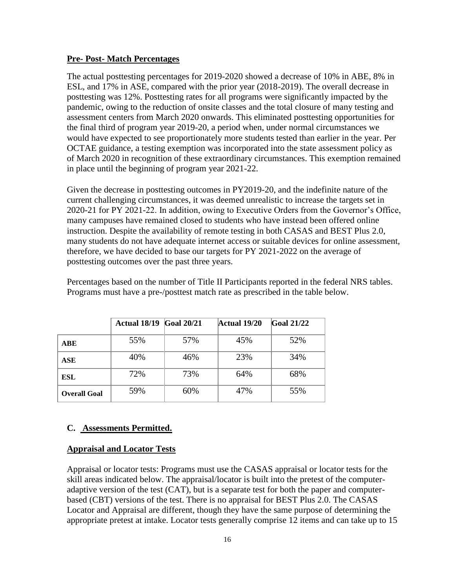#### **Pre- Post- Match Percentages**

The actual posttesting percentages for 2019-2020 showed a decrease of 10% in ABE, 8% in ESL, and 17% in ASE, compared with the prior year (2018-2019). The overall decrease in posttesting was 12%. Posttesting rates for all programs were significantly impacted by the pandemic, owing to the reduction of onsite classes and the total closure of many testing and assessment centers from March 2020 onwards. This eliminated posttesting opportunities for the final third of program year 2019-20, a period when, under normal circumstances we would have expected to see proportionately more students tested than earlier in the year. Per OCTAE guidance, a testing exemption was incorporated into the state assessment policy as of March 2020 in recognition of these extraordinary circumstances. This exemption remained in place until the beginning of program year 2021-22.

Given the decrease in posttesting outcomes in PY2019-20, and the indefinite nature of the current challenging circumstances, it was deemed unrealistic to increase the targets set in 2020-21 for PY 2021-22. In addition, owing to Executive Orders from the Governor's Office, many campuses have remained closed to students who have instead been offered online instruction. Despite the availability of remote testing in both CASAS and BEST Plus 2.0, many students do not have adequate internet access or suitable devices for online assessment, therefore, we have decided to base our targets for PY 2021-2022 on the average of posttesting outcomes over the past three years.

|                     | Actual 18/19 | <b>Goal 20/21</b> | <b>Actual 19/20</b> | <b>Goal 21/22</b> |
|---------------------|--------------|-------------------|---------------------|-------------------|
| <b>ABE</b>          | 55%          | 57%               | 45%                 | 52%               |
| ASE                 | 40%          | 46%               | 23%                 | 34%               |
| ESL                 | 72%          | 73%               | 64%                 | 68%               |
| <b>Overall Goal</b> | 59%          | 60%               | 47%                 | 55%               |

Percentages based on the number of Title II Participants reported in the federal NRS tables. Programs must have a pre-/posttest match rate as prescribed in the table below.

#### **C. Assessments Permitted.**

#### **Appraisal and Locator Tests**

Appraisal or locator tests: Programs must use the CASAS appraisal or locator tests for the skill areas indicated below. The appraisal/locator is built into the pretest of the computeradaptive version of the test (CAT), but is a separate test for both the paper and computerbased (CBT) versions of the test. There is no appraisal for BEST Plus 2.0. The CASAS Locator and Appraisal are different, though they have the same purpose of determining the appropriate pretest at intake. Locator tests generally comprise 12 items and can take up to 15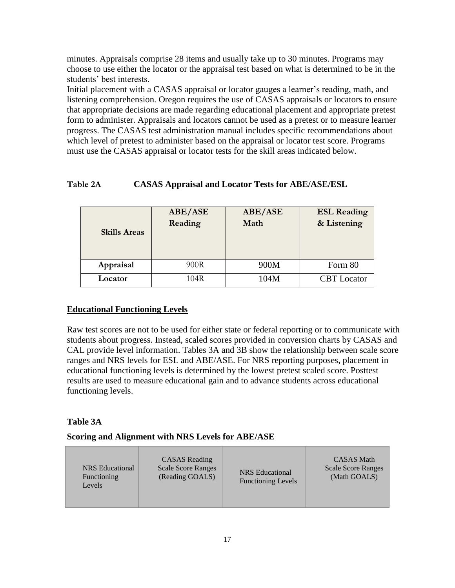minutes. Appraisals comprise 28 items and usually take up to 30 minutes. Programs may choose to use either the locator or the appraisal test based on what is determined to be in the students' best interests.

Initial placement with a CASAS appraisal or locator gauges a learner's reading, math, and listening comprehension. Oregon requires the use of CASAS appraisals or locators to ensure that appropriate decisions are made regarding educational placement and appropriate pretest form to administer. Appraisals and locators cannot be used as a pretest or to measure learner progress. The CASAS test administration manual includes specific recommendations about which level of pretest to administer based on the appraisal or locator test score. Programs must use the CASAS appraisal or locator tests for the skill areas indicated below.

#### **Table 2A CASAS Appraisal and Locator Tests for ABE/ASE/ESL**

| <b>Skills Areas</b> | ABE/ASE<br>Reading | ABE/ASE<br>Math | <b>ESL Reading</b><br>& Listening |
|---------------------|--------------------|-----------------|-----------------------------------|
| Appraisal           | 900R               | 900M            | Form 80                           |
| Locator             | 104R               | 104M            | <b>CBT</b> Locator                |

#### **Educational Functioning Levels**

Raw test scores are not to be used for either state or federal reporting or to communicate with students about progress. Instead, scaled scores provided in conversion charts by CASAS and CAL provide level information. Tables 3A and 3B show the relationship between scale score ranges and NRS levels for ESL and ABE/ASE. For NRS reporting purposes, placement in educational functioning levels is determined by the lowest pretest scaled score. Posttest results are used to measure educational gain and to advance students across educational functioning levels.

#### **Table 3A**

#### **Scoring and Alignment with NRS Levels for ABE/ASE**

| NRS Educational<br>Functioning<br>Levels | <b>CASAS</b> Reading<br><b>Scale Score Ranges</b><br>(Reading GOALS) | <b>NRS</b> Educational<br><b>Functioning Levels</b> | <b>CASAS</b> Math<br><b>Scale Score Ranges</b><br>(Math GOALS) |
|------------------------------------------|----------------------------------------------------------------------|-----------------------------------------------------|----------------------------------------------------------------|
|------------------------------------------|----------------------------------------------------------------------|-----------------------------------------------------|----------------------------------------------------------------|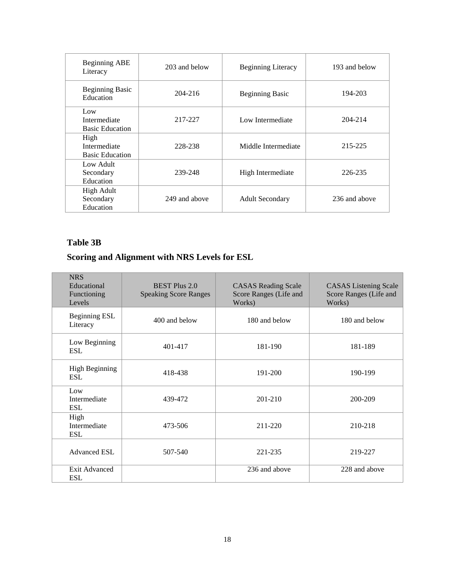| Beginning ABE<br>Literacy                      | 203 and below | <b>Beginning Literacy</b> | 193 and below |
|------------------------------------------------|---------------|---------------------------|---------------|
| <b>Beginning Basic</b><br>Education            | 204-216       | <b>Beginning Basic</b>    | 194-203       |
| Low<br>Intermediate<br><b>Basic Education</b>  | 217-227       | Low Intermediate          | 204-214       |
| High<br>Intermediate<br><b>Basic Education</b> | 228-238       | Middle Intermediate       | 215-225       |
| Low Adult<br>Secondary<br>Education            | 239-248       | High Intermediate         | 226-235       |
| High Adult<br>Secondary<br>Education           | 249 and above | <b>Adult Secondary</b>    | 236 and above |

#### **Table 3B**

### **Scoring and Alignment with NRS Levels for ESL**

| <b>NRS</b><br>Educational<br>Functioning<br>Levels | <b>BEST Plus 2.0</b><br><b>Speaking Score Ranges</b> | <b>CASAS</b> Reading Scale<br>Score Ranges (Life and<br>Works) | <b>CASAS</b> Listening Scale<br>Score Ranges (Life and<br>Works) |
|----------------------------------------------------|------------------------------------------------------|----------------------------------------------------------------|------------------------------------------------------------------|
| Beginning ESL<br>Literacy                          | 400 and below                                        | 180 and below                                                  | 180 and below                                                    |
| Low Beginning<br><b>ESL</b>                        | 401-417                                              | 181-190                                                        | 181-189                                                          |
| <b>High Beginning</b><br><b>ESL</b>                | 418-438                                              | 191-200                                                        | 190-199                                                          |
| Low<br>Intermediate<br><b>ESL</b>                  | 439-472                                              | $201 - 210$                                                    | 200-209                                                          |
| High<br>Intermediate<br><b>ESL</b>                 | 473-506                                              | 211-220                                                        | 210-218                                                          |
| <b>Advanced ESL</b>                                | 507-540                                              | 221-235                                                        | 219-227                                                          |
| <b>Exit Advanced</b><br><b>ESL</b>                 |                                                      | 236 and above                                                  | 228 and above                                                    |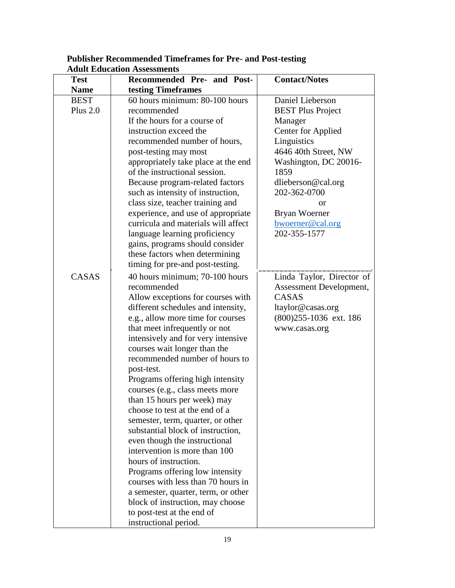| <b>Test</b> | Recommended Pre- and Post-          | <b>Contact/Notes</b>      |
|-------------|-------------------------------------|---------------------------|
| <b>Name</b> | testing Timeframes                  |                           |
| <b>BEST</b> | 60 hours minimum: 80-100 hours      | Daniel Lieberson          |
| Plus $2.0$  | recommended                         | <b>BEST Plus Project</b>  |
|             | If the hours for a course of        | Manager                   |
|             | instruction exceed the              | <b>Center for Applied</b> |
|             | recommended number of hours,        | Linguistics               |
|             | post-testing may most               | 4646 40th Street, NW      |
|             | appropriately take place at the end | Washington, DC 20016-     |
|             | of the instructional session.       | 1859                      |
|             | Because program-related factors     | dlieberson@cal.org        |
|             | such as intensity of instruction,   | 202-362-0700              |
|             | class size, teacher training and    | or                        |
|             | experience, and use of appropriate  | Bryan Woerner             |
|             | curricula and materials will affect | bwoerner@cal.org          |
|             | language learning proficiency       | 202-355-1577              |
|             | gains, programs should consider     |                           |
|             | these factors when determining      |                           |
|             | timing for pre-and post-testing.    |                           |
| CASAS       | 40 hours minimum; 70-100 hours      | Linda Taylor, Director of |
|             | recommended                         | Assessment Development,   |
|             | Allow exceptions for courses with   | CASAS                     |
|             | different schedules and intensity,  | ltaylor@casas.org         |
|             | e.g., allow more time for courses   | $(800)$ 255-1036 ext. 186 |
|             | that meet infrequently or not       | www.casas.org             |
|             | intensively and for very intensive  |                           |
|             | courses wait longer than the        |                           |
|             | recommended number of hours to      |                           |
|             | post-test.                          |                           |
|             | Programs offering high intensity    |                           |
|             | courses (e.g., class meets more     |                           |
|             | than 15 hours per week) may         |                           |
|             | choose to test at the end of a      |                           |
|             | semester, term, quarter, or other   |                           |
|             | substantial block of instruction,   |                           |
|             | even though the instructional       |                           |
|             | intervention is more than 100       |                           |
|             | hours of instruction.               |                           |
|             | Programs offering low intensity     |                           |
|             | courses with less than 70 hours in  |                           |
|             | a semester, quarter, term, or other |                           |
|             | block of instruction, may choose    |                           |
|             | to post-test at the end of          |                           |
|             | instructional period.               |                           |

#### **Publisher Recommended Timeframes for Pre- and Post-testing Adult Education Assessments**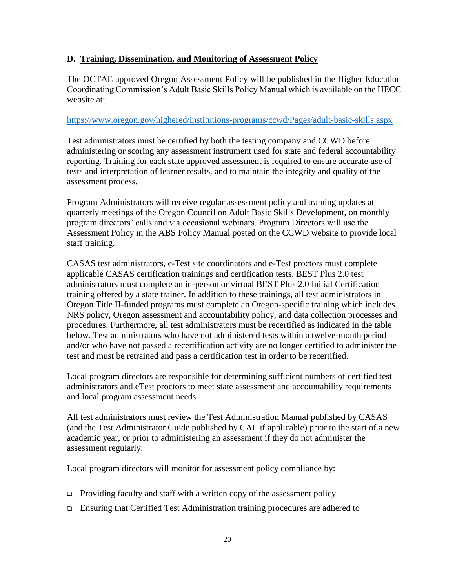#### **D. Training, Dissemination, and Monitoring of Assessment Policy**

The OCTAE approved Oregon Assessment Policy will be published in the Higher Education Coordinating Commission's Adult Basic Skills Policy Manual which is available on the HECC website at:

#### <https://www.oregon.gov/highered/institutions-programs/ccwd/Pages/adult-basic-skills.aspx>

Test administrators must be certified by both the testing company and CCWD before administering or scoring any assessment instrument used for state and federal accountability reporting. Training for each state approved assessment is required to ensure accurate use of tests and interpretation of learner results, and to maintain the integrity and quality of the assessment process.

Program Administrators will receive regular assessment policy and training updates at quarterly meetings of the Oregon Council on Adult Basic Skills Development, on monthly program directors' calls and via occasional webinars. Program Directors will use the Assessment Policy in the ABS Policy Manual posted on the CCWD website to provide local staff training.

CASAS test administrators, e-Test site coordinators and e-Test proctors must complete applicable CASAS certification trainings and certification tests. BEST Plus 2.0 test administrators must complete an in-person or virtual BEST Plus 2.0 Initial Certification training offered by a state trainer. In addition to these trainings, all test administrators in Oregon Title II-funded programs must complete an Oregon-specific training which includes NRS policy, Oregon assessment and accountability policy, and data collection processes and procedures. Furthermore, all test administrators must be recertified as indicated in the table below. Test administrators who have not administered tests within a twelve-month period and/or who have not passed a recertification activity are no longer certified to administer the test and must be retrained and pass a certification test in order to be recertified.

Local program directors are responsible for determining sufficient numbers of certified test administrators and eTest proctors to meet state assessment and accountability requirements and local program assessment needs.

All test administrators must review the Test Administration Manual published by CASAS (and the Test Administrator Guide published by CAL if applicable) prior to the start of a new academic year, or prior to administering an assessment if they do not administer the assessment regularly.

Local program directors will monitor for assessment policy compliance by:

- **Providing faculty and staff with a written copy of the assessment policy**
- Ensuring that Certified Test Administration training procedures are adhered to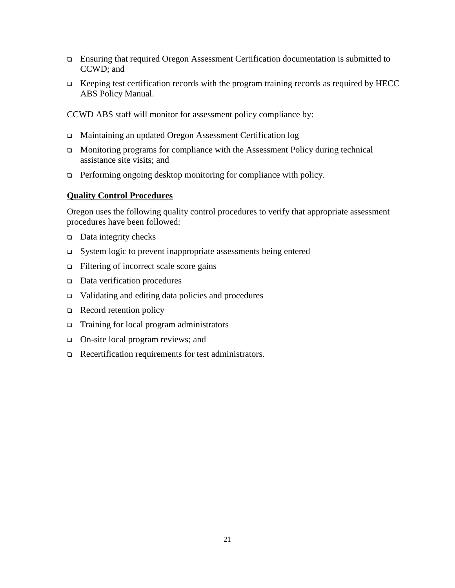- Ensuring that required Oregon Assessment Certification documentation is submitted to CCWD; and
- $\Box$  Keeping test certification records with the program training records as required by HECC ABS Policy Manual.

CCWD ABS staff will monitor for assessment policy compliance by:

- Maintaining an updated Oregon Assessment Certification log
- $\Box$  Monitoring programs for compliance with the Assessment Policy during technical assistance site visits; and
- $\Box$  Performing ongoing desktop monitoring for compliance with policy.

#### **Quality Control Procedures**

Oregon uses the following quality control procedures to verify that appropriate assessment procedures have been followed:

- $\Box$  Data integrity checks
- System logic to prevent inappropriate assessments being entered
- $\Box$  Filtering of incorrect scale score gains
- $\Box$  Data verification procedures
- Validating and editing data policies and procedures
- $\Box$  Record retention policy
- □ Training for local program administrators
- □ On-site local program reviews; and
- □ Recertification requirements for test administrators.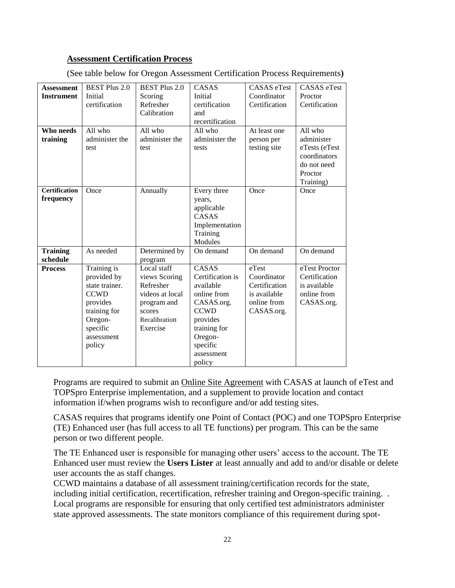#### **Assessment Certification Process**

| <b>Assessment</b>    | <b>BEST Plus 2.0</b> | <b>BEST Plus 2.0</b> | CASAS            | <b>CASAS</b> eTest | <b>CASAS</b> eTest |
|----------------------|----------------------|----------------------|------------------|--------------------|--------------------|
| <b>Instrument</b>    | Initial              | Scoring              | Initial          | Coordinator        | Proctor            |
|                      | certification        | Refresher            | certification    | Certification      | Certification      |
|                      |                      | Calibration          | and              |                    |                    |
|                      |                      |                      | recertification  |                    |                    |
| Who needs            | All $who$            | All who              | All who          | At least one       | All who            |
| training             | administer the       | administer the       | administer the   | person per         | administer         |
|                      | test                 | test                 | tests            | testing site       | eTests (eTest      |
|                      |                      |                      |                  |                    | coordinators       |
|                      |                      |                      |                  |                    | do not need        |
|                      |                      |                      |                  |                    | Proctor            |
|                      |                      |                      |                  |                    | Training)          |
| <b>Certification</b> | Once                 | Annually             | Every three      | Once               | Once               |
| frequency            |                      |                      | years,           |                    |                    |
|                      |                      |                      | applicable       |                    |                    |
|                      |                      |                      | CASAS            |                    |                    |
|                      |                      |                      | Implementation   |                    |                    |
|                      |                      |                      | Training         |                    |                    |
|                      |                      |                      | Modules          |                    |                    |
| <b>Training</b>      | As needed            | Determined by        | On demand        | On demand          | On demand          |
| schedule             |                      | program              |                  |                    |                    |
| <b>Process</b>       | Training is          | Local staff          | CASAS            | eTest              | eTest Proctor      |
|                      | provided by          | views Scoring        | Certification is | Coordinator        | Certification      |
|                      | state trainer.       | Refresher            | available        | Certification      | is available       |
|                      | <b>CCWD</b>          | videos at local      | online from      | is available       | online from        |
|                      | provides             | program and          | CASAS.org.       | online from        | CASAS.org.         |
|                      | training for         | scores               | <b>CCWD</b>      | CASAS.org.         |                    |
|                      | Oregon-              | Recalibration        | provides         |                    |                    |
|                      | specific             | Exercise             | training for     |                    |                    |
|                      | assessment           |                      | Oregon-          |                    |                    |
|                      | policy               |                      | specific         |                    |                    |
|                      |                      |                      | assessment       |                    |                    |
|                      |                      |                      | policy           |                    |                    |

(See table below for Oregon Assessment Certification Process Requirements**)**

Programs are required to submit an Online Site Agreement with CASAS at launch of eTest and TOPSpro Enterprise implementation, and a supplement to provide location and contact information if/when programs wish to reconfigure and/or add testing sites.

CASAS requires that programs identify one Point of Contact (POC) and one TOPSpro Enterprise (TE) Enhanced user (has full access to all TE functions) per program. This can be the same person or two different people.

The TE Enhanced user is responsible for managing other users' access to the account. The TE Enhanced user must review the **Users Lister** at least annually and add to and/or disable or delete user accounts the as staff changes.

CCWD maintains a database of all assessment training/certification records for the state, including initial certification, recertification, refresher training and Oregon-specific training. . Local programs are responsible for ensuring that only certified test administrators administer state approved assessments. The state monitors compliance of this requirement during spot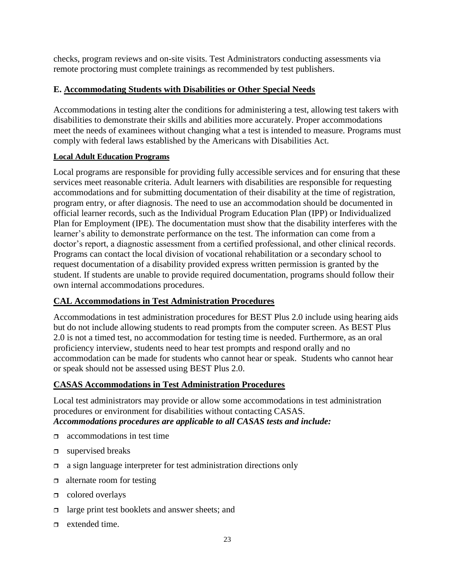checks, program reviews and on-site visits. Test Administrators conducting assessments via remote proctoring must complete trainings as recommended by test publishers.

#### **E. Accommodating Students with Disabilities or Other Special Needs**

Accommodations in testing alter the conditions for administering a test, allowing test takers with disabilities to demonstrate their skills and abilities more accurately. Proper accommodations meet the needs of examinees without changing what a test is intended to measure. Programs must comply with federal laws established by the Americans with Disabilities Act.

#### **Local Adult Education Programs**

Local programs are responsible for providing fully accessible services and for ensuring that these services meet reasonable criteria. Adult learners with disabilities are responsible for requesting accommodations and for submitting documentation of their disability at the time of registration, program entry, or after diagnosis. The need to use an accommodation should be documented in official learner records, such as the Individual Program Education Plan (IPP) or Individualized Plan for Employment (IPE). The documentation must show that the disability interferes with the learner's ability to demonstrate performance on the test. The information can come from a doctor's report, a diagnostic assessment from a certified professional, and other clinical records. Programs can contact the local division of vocational rehabilitation or a secondary school to request documentation of a disability provided express written permission is granted by the student. If students are unable to provide required documentation, programs should follow their own internal accommodations procedures.

#### **CAL Accommodations in Test Administration Procedures**

Accommodations in test administration procedures for BEST Plus 2.0 include using hearing aids but do not include allowing students to read prompts from the computer screen. As BEST Plus 2.0 is not a timed test, no accommodation for testing time is needed. Furthermore, as an oral proficiency interview, students need to hear test prompts and respond orally and no accommodation can be made for students who cannot hear or speak. Students who cannot hear or speak should not be assessed using BEST Plus 2.0.

#### **CASAS Accommodations in Test Administration Procedures**

Local test administrators may provide or allow some accommodations in test administration procedures or environment for disabilities without contacting CASAS. *Accommodations procedures are applicable to all CASAS tests and include:*

- $\Box$  accommodations in test time
- $\Box$  supervised breaks
- $\Box$  a sign language interpreter for test administration directions only
- $\Box$  alternate room for testing
- $\Box$  colored overlays
- $\Box$  large print test booklets and answer sheets; and
- $\Box$  extended time.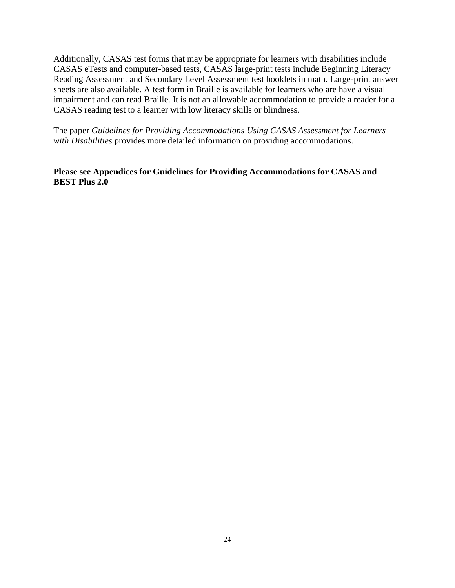Additionally, CASAS test forms that may be appropriate for learners with disabilities include CASAS eTests and computer-based tests, CASAS large-print tests include Beginning Literacy Reading Assessment and Secondary Level Assessment test booklets in math. Large-print answer sheets are also available. A test form in Braille is available for learners who are have a visual impairment and can read Braille. It is not an allowable accommodation to provide a reader for a CASAS reading test to a learner with low literacy skills or blindness.

The paper *Guidelines for Providing Accommodations Using CASAS Assessment for Learners with Disabilities* provides more detailed information on providing accommodations.

**Please see Appendices for Guidelines for Providing Accommodations for CASAS and BEST Plus 2.0**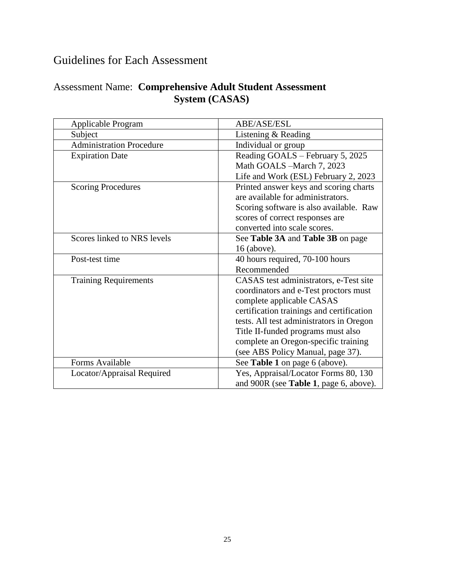## Guidelines for Each Assessment

## Assessment Name: **Comprehensive Adult Student Assessment System (CASAS)**

| Applicable Program              | ABE/ASE/ESL                               |
|---------------------------------|-------------------------------------------|
| Subject                         | Listening & Reading                       |
| <b>Administration Procedure</b> | Individual or group                       |
| <b>Expiration Date</b>          | Reading GOALS - February 5, 2025          |
|                                 | Math GOALS -March 7, 2023                 |
|                                 | Life and Work (ESL) February 2, 2023      |
| <b>Scoring Procedures</b>       | Printed answer keys and scoring charts    |
|                                 | are available for administrators.         |
|                                 | Scoring software is also available. Raw   |
|                                 | scores of correct responses are           |
|                                 | converted into scale scores.              |
| Scores linked to NRS levels     | See Table 3A and Table 3B on page         |
|                                 | 16 (above).                               |
| Post-test time                  | 40 hours required, 70-100 hours           |
|                                 | Recommended                               |
| <b>Training Requirements</b>    | CASAS test administrators, e-Test site    |
|                                 | coordinators and e-Test proctors must     |
|                                 | complete applicable CASAS                 |
|                                 | certification trainings and certification |
|                                 | tests. All test administrators in Oregon  |
|                                 | Title II-funded programs must also        |
|                                 | complete an Oregon-specific training      |
|                                 | (see ABS Policy Manual, page 37).         |
| Forms Available                 | See Table 1 on page 6 (above).            |
| Locator/Appraisal Required      | Yes, Appraisal/Locator Forms 80, 130      |
|                                 | and 900R (see Table 1, page 6, above).    |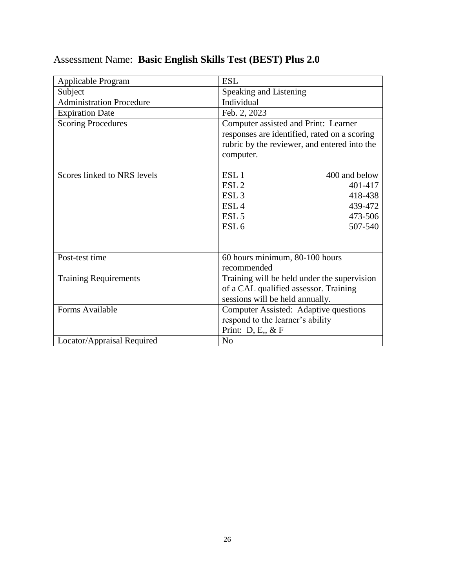| Applicable Program              | <b>ESL</b>                                                                                                                                        |  |
|---------------------------------|---------------------------------------------------------------------------------------------------------------------------------------------------|--|
| Subject                         | Speaking and Listening                                                                                                                            |  |
| <b>Administration Procedure</b> | Individual                                                                                                                                        |  |
| <b>Expiration Date</b>          | Feb. 2, 2023                                                                                                                                      |  |
| <b>Scoring Procedures</b>       | Computer assisted and Print: Learner<br>responses are identified, rated on a scoring<br>rubric by the reviewer, and entered into the<br>computer. |  |
| Scores linked to NRS levels     | ESL <sub>1</sub><br>400 and below                                                                                                                 |  |
|                                 | ESL <sub>2</sub><br>401-417                                                                                                                       |  |
|                                 | ESL <sub>3</sub><br>418-438                                                                                                                       |  |
|                                 | ESL <sub>4</sub><br>439-472                                                                                                                       |  |
|                                 | ESL <sub>5</sub><br>473-506                                                                                                                       |  |
|                                 | ESL <sub>6</sub><br>507-540                                                                                                                       |  |
|                                 |                                                                                                                                                   |  |
| Post-test time                  | 60 hours minimum, 80-100 hours                                                                                                                    |  |
|                                 | recommended                                                                                                                                       |  |
| <b>Training Requirements</b>    | Training will be held under the supervision                                                                                                       |  |
|                                 | of a CAL qualified assessor. Training                                                                                                             |  |
|                                 | sessions will be held annually.                                                                                                                   |  |
| Forms Available                 | Computer Assisted: Adaptive questions                                                                                                             |  |
|                                 | respond to the learner's ability                                                                                                                  |  |
|                                 | Print: $D, E, \& F$                                                                                                                               |  |
| Locator/Appraisal Required      | N <sub>0</sub>                                                                                                                                    |  |

## Assessment Name: **Basic English Skills Test (BEST) Plus 2.0**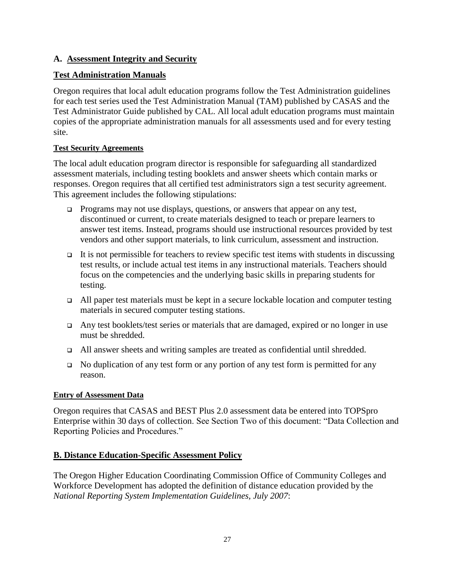#### **A. Assessment Integrity and Security**

#### **Test Administration Manuals**

Oregon requires that local adult education programs follow the Test Administration guidelines for each test series used the Test Administration Manual (TAM) published by CASAS and the Test Administrator Guide published by CAL. All local adult education programs must maintain copies of the appropriate administration manuals for all assessments used and for every testing site.

#### **Test Security Agreements**

The local adult education program director is responsible for safeguarding all standardized assessment materials, including testing booklets and answer sheets which contain marks or responses. Oregon requires that all certified test administrators sign a test security agreement. This agreement includes the following stipulations:

- Programs may not use displays, questions, or answers that appear on any test, discontinued or current, to create materials designed to teach or prepare learners to answer test items. Instead, programs should use instructional resources provided by test vendors and other support materials, to link curriculum, assessment and instruction.
- It is not permissible for teachers to review specific test items with students in discussing test results, or include actual test items in any instructional materials. Teachers should focus on the competencies and the underlying basic skills in preparing students for testing.
- $\Box$  All paper test materials must be kept in a secure lockable location and computer testing materials in secured computer testing stations.
- Any test booklets/test series or materials that are damaged, expired or no longer in use must be shredded.
- All answer sheets and writing samples are treated as confidential until shredded.
- $\Box$  No duplication of any test form or any portion of any test form is permitted for any reason.

#### **Entry of Assessment Data**

Oregon requires that CASAS and BEST Plus 2.0 assessment data be entered into TOPSpro Enterprise within 30 days of collection. See Section Two of this document: "Data Collection and Reporting Policies and Procedures."

#### **B. Distance Education-Specific Assessment Policy**

The Oregon Higher Education Coordinating Commission Office of Community Colleges and Workforce Development has adopted the definition of distance education provided by the *National Reporting System Implementation Guidelines, July 2007*: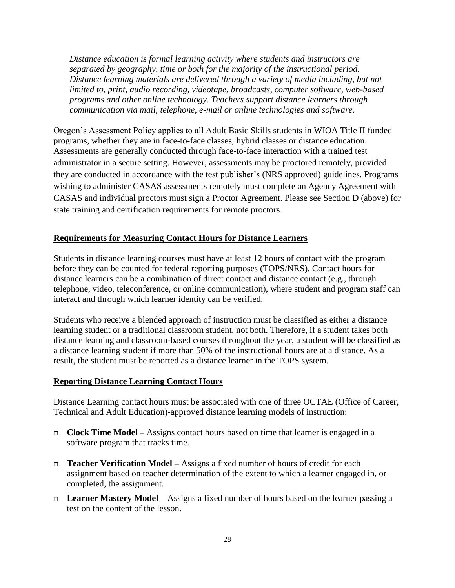*Distance education is formal learning activity where students and instructors are separated by geography, time or both for the majority of the instructional period. Distance learning materials are delivered through a variety of media including, but not limited to, print, audio recording, videotape, broadcasts, computer software, web-based programs and other online technology. Teachers support distance learners through communication via mail, telephone, e-mail or online technologies and software.*

Oregon's Assessment Policy applies to all Adult Basic Skills students in WIOA Title II funded programs, whether they are in face-to-face classes, hybrid classes or distance education. Assessments are generally conducted through face-to-face interaction with a trained test administrator in a secure setting. However, assessments may be proctored remotely, provided they are conducted in accordance with the test publisher's (NRS approved) guidelines. Programs wishing to administer CASAS assessments remotely must complete an Agency Agreement with CASAS and individual proctors must sign a Proctor Agreement. Please see Section D (above) for state training and certification requirements for remote proctors.

#### **Requirements for Measuring Contact Hours for Distance Learners**

Students in distance learning courses must have at least 12 hours of contact with the program before they can be counted for federal reporting purposes (TOPS/NRS). Contact hours for distance learners can be a combination of direct contact and distance contact (e.g., through telephone, video, teleconference, or online communication), where student and program staff can interact and through which learner identity can be verified.

Students who receive a blended approach of instruction must be classified as either a distance learning student or a traditional classroom student, not both. Therefore, if a student takes both distance learning and classroom-based courses throughout the year, a student will be classified as a distance learning student if more than 50% of the instructional hours are at a distance. As a result, the student must be reported as a distance learner in the TOPS system.

#### **Reporting Distance Learning Contact Hours**

Distance Learning contact hours must be associated with one of three OCTAE (Office of Career, Technical and Adult Education)-approved distance learning models of instruction:

- **Clock Time Model –** Assigns contact hours based on time that learner is engaged in a software program that tracks time.
- **Teacher Verification Model –** Assigns a fixed number of hours of credit for each assignment based on teacher determination of the extent to which a learner engaged in, or completed, the assignment.
- **Learner Mastery Model –** Assigns a fixed number of hours based on the learner passing a test on the content of the lesson.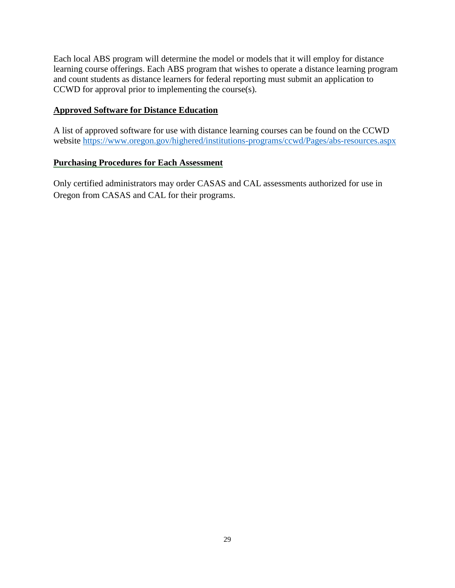Each local ABS program will determine the model or models that it will employ for distance learning course offerings. Each ABS program that wishes to operate a distance learning program and count students as distance learners for federal reporting must submit an application to CCWD for approval prior to implementing the course(s).

#### **Approved Software for Distance Education**

A list of approved software for use with distance learning courses can be found on the CCWD website<https://www.oregon.gov/highered/institutions-programs/ccwd/Pages/abs-resources.aspx>

#### **Purchasing Procedures for Each Assessment**

Only certified administrators may order CASAS and CAL assessments authorized for use in Oregon from CASAS and CAL for their programs.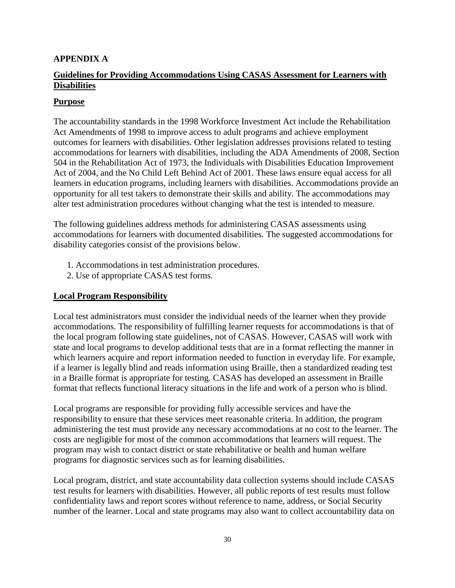#### **APPENDIX A**

#### **Guidelines for Providing Accommodations Using CASAS Assessment for Learners with Disabilities**

#### **Purpose**

The accountability standards in the 1998 Workforce Investment Act include the Rehabilitation Act Amendments of 1998 to improve access to adult programs and achieve employment outcomes for learners with disabilities. Other legislation addresses provisions related to testing accommodations for learners with disabilities, including the ADA Amendments of 2008, Section 504 in the Rehabilitation Act of 1973, the Individuals with Disabilities Education Improvement Act of 2004, and the No Child Left Behind Act of 2001. These laws ensure equal access for all learners in education programs, including learners with disabilities. Accommodations provide an opportunity for all test takers to demonstrate their skills and ability. The accommodations may alter test administration procedures without changing what the test is intended to measure.

The following guidelines address methods for administering CASAS assessments using accommodations for learners with documented disabilities. The suggested accommodations for disability categories consist of the provisions below.

- 1. Accommodations in test administration procedures.
- 2. Use of appropriate CASAS test forms.

#### **Local Program Responsibility**

Local test administrators must consider the individual needs of the learner when they provide accommodations. The responsibility of fulfilling learner requests for accommodations is that of the local program following state guidelines, not of CASAS. However, CASAS will work with state and local programs to develop additional tests that are in a format reflecting the manner in which learners acquire and report information needed to function in everyday life. For example, if a learner is legally blind and reads information using Braille, then a standardized reading test in a Braille format is appropriate for testing. CASAS has developed an assessment in Braille format that reflects functional literacy situations in the life and work of a person who is blind.

Local programs are responsible for providing fully accessible services and have the responsibility to ensure that these services meet reasonable criteria. In addition, the program administering the test must provide any necessary accommodations at no cost to the learner. The costs are negligible for most of the common accommodations that learners will request. The program may wish to contact district or state rehabilitative or health and human welfare programs for diagnostic services such as for learning disabilities.

Local program, district, and state accountability data collection systems should include CASAS test results for learners with disabilities. However, all public reports of test results must follow confidentiality laws and report scores without reference to name, address, or Social Security number of the learner. Local and state programs may also want to collect accountability data on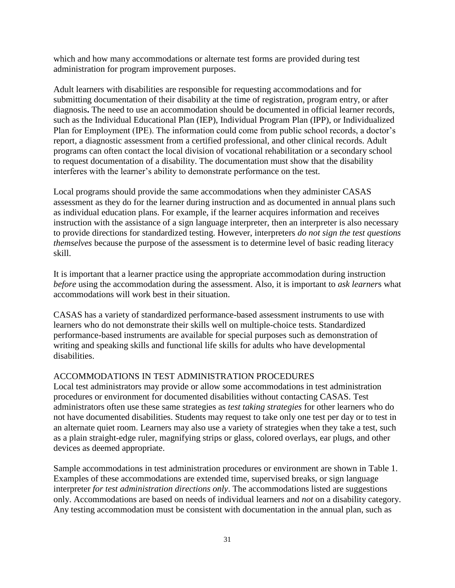which and how many accommodations or alternate test forms are provided during test administration for program improvement purposes.

Adult learners with disabilities are responsible for requesting accommodations and for submitting documentation of their disability at the time of registration, program entry, or after diagnosis**.** The need to use an accommodation should be documented in official learner records, such as the Individual Educational Plan (IEP), Individual Program Plan (IPP), or Individualized Plan for Employment (IPE). The information could come from public school records, a doctor's report, a diagnostic assessment from a certified professional, and other clinical records. Adult programs can often contact the local division of vocational rehabilitation or a secondary school to request documentation of a disability. The documentation must show that the disability interferes with the learner's ability to demonstrate performance on the test.

Local programs should provide the same accommodations when they administer CASAS assessment as they do for the learner during instruction and as documented in annual plans such as individual education plans. For example, if the learner acquires information and receives instruction with the assistance of a sign language interpreter, then an interpreter is also necessary to provide directions for standardized testing. However, interpreters *do not sign the test questions themselves* because the purpose of the assessment is to determine level of basic reading literacy skill.

It is important that a learner practice using the appropriate accommodation during instruction *before* using the accommodation during the assessment. Also, it is important to *ask learner*s what accommodations will work best in their situation.

CASAS has a variety of standardized performance-based assessment instruments to use with learners who do not demonstrate their skills well on multiple-choice tests. Standardized performance-based instruments are available for special purposes such as demonstration of writing and speaking skills and functional life skills for adults who have developmental disabilities.

#### ACCOMMODATIONS IN TEST ADMINISTRATION PROCEDURES

Local test administrators may provide or allow some accommodations in test administration procedures or environment for documented disabilities without contacting CASAS*.* Test administrators often use these same strategies as *test taking strategies* for other learners who do not have documented disabilities. Students may request to take only one test per day or to test in an alternate quiet room. Learners may also use a variety of strategies when they take a test, such as a plain straight-edge ruler, magnifying strips or glass, colored overlays, ear plugs, and other devices as deemed appropriate.

Sample accommodations in test administration procedures or environment are shown in Table 1. Examples of these accommodations are extended time, supervised breaks, or sign language interpreter *for test administration directions only*. The accommodations listed are suggestions only. Accommodations are based on needs of individual learners and *not* on a disability category. Any testing accommodation must be consistent with documentation in the annual plan, such as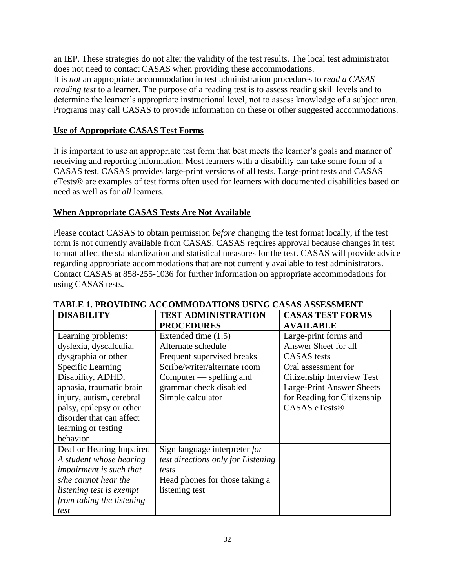an IEP. These strategies do not alter the validity of the test results. The local test administrator does not need to contact CASAS when providing these accommodations. It is *not* an appropriate accommodation in test administration procedures to *read a CASAS reading test* to a learner. The purpose of a reading test is to assess reading skill levels and to determine the learner's appropriate instructional level, not to assess knowledge of a subject area. Programs may call CASAS to provide information on these or other suggested accommodations.

#### **Use of Appropriate CASAS Test Forms**

It is important to use an appropriate test form that best meets the learner's goals and manner of receiving and reporting information. Most learners with a disability can take some form of a CASAS test. CASAS provides large-print versions of all tests. Large-print tests and CASAS eTests® are examples of test forms often used for learners with documented disabilities based on need as well as for *all* learners.

#### **When Appropriate CASAS Tests Are Not Available**

Please contact CASAS to obtain permission *before* changing the test format locally, if the test form is not currently available from CASAS. CASAS requires approval because changes in test format affect the standardization and statistical measures for the test. CASAS will provide advice regarding appropriate accommodations that are not currently available to test administrators. Contact CASAS at 858-255-1036 for further information on appropriate accommodations for using CASAS tests.

| <b>DISABILITY</b>               | <b>TEST ADMINISTRATION</b>         | <b>CASAS TEST FORMS</b>     |
|---------------------------------|------------------------------------|-----------------------------|
|                                 | <b>PROCEDURES</b>                  | <b>AVAILABLE</b>            |
| Learning problems:              | Extended time $(1.5)$              | Large-print forms and       |
| dyslexia, dyscalculia,          | Alternate schedule                 | Answer Sheet for all        |
| dysgraphia or other             | Frequent supervised breaks         | <b>CASAS</b> tests          |
| Specific Learning               | Scribe/writer/alternate room       | Oral assessment for         |
| Disability, ADHD,               | Computer — spelling and            | Citizenship Interview Test  |
| aphasia, traumatic brain        | grammar check disabled             | Large-Print Answer Sheets   |
| injury, autism, cerebral        | Simple calculator                  | for Reading for Citizenship |
| palsy, epilepsy or other        |                                    | <b>CASAS</b> eTests®        |
| disorder that can affect        |                                    |                             |
| learning or testing             |                                    |                             |
| behavior                        |                                    |                             |
| Deaf or Hearing Impaired        | Sign language interpreter for      |                             |
| A student whose hearing         | test directions only for Listening |                             |
| impairment is such that         | tests                              |                             |
| s/he cannot hear the            | Head phones for those taking a     |                             |
| <i>listening test is exempt</i> | listening test                     |                             |
| from taking the listening       |                                    |                             |
| test                            |                                    |                             |

#### **TABLE 1. PROVIDING ACCOMMODATIONS USING CASAS ASSESSMENT**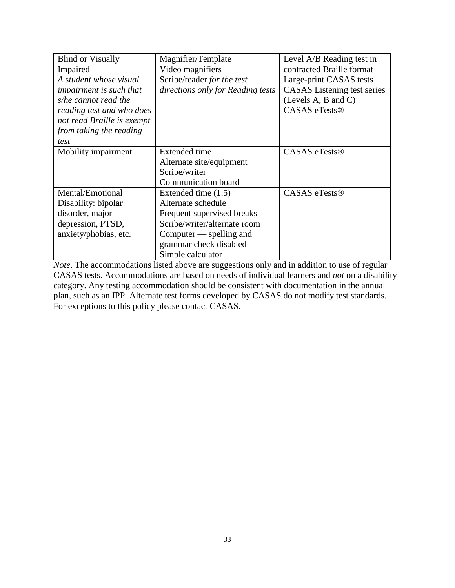| <b>Blind or Visually</b>       | Magnifier/Template                | Level A/B Reading test in          |
|--------------------------------|-----------------------------------|------------------------------------|
| Impaired                       | Video magnifiers                  | contracted Braille format          |
| A student whose visual         | Scribe/reader for the test        | Large-print CASAS tests            |
| <i>impairment is such that</i> | directions only for Reading tests | <b>CASAS</b> Listening test series |
| s/he cannot read the           |                                   | (Levels A, B and C)                |
| reading test and who does      |                                   | <b>CASAS</b> eTests®               |
| not read Braille is exempt     |                                   |                                    |
| from taking the reading        |                                   |                                    |
| test                           |                                   |                                    |
| Mobility impairment            | <b>Extended time</b>              | CASAS eTests <sup>®</sup>          |
|                                | Alternate site/equipment          |                                    |
|                                | Scribe/writer                     |                                    |
|                                | Communication board               |                                    |
| Mental/Emotional               | Extended time $(1.5)$             | CASAS eTests®                      |
| Disability: bipolar            | Alternate schedule                |                                    |
| disorder, major                | Frequent supervised breaks        |                                    |
| depression, PTSD,              | Scribe/writer/alternate room      |                                    |
| anxiety/phobias, etc.          | Computer — spelling and           |                                    |
|                                | grammar check disabled            |                                    |
|                                | Simple calculator                 |                                    |

*Note*. The accommodations listed above are suggestions only and in addition to use of regular CASAS tests. Accommodations are based on needs of individual learners and *not* on a disability category. Any testing accommodation should be consistent with documentation in the annual plan, such as an IPP. Alternate test forms developed by CASAS do not modify test standards. For exceptions to this policy please contact CASAS.